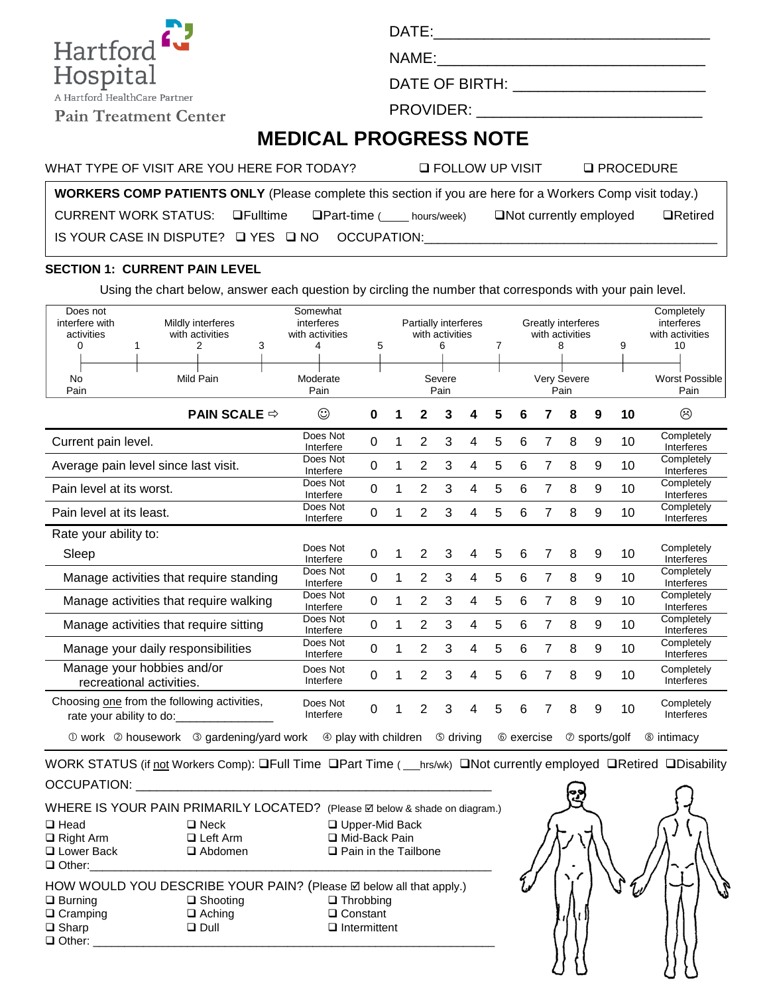DATE:\_\_\_\_\_\_\_\_\_\_\_\_\_\_\_\_\_\_\_\_\_\_\_\_\_\_\_\_\_\_\_\_\_

NAME:\_\_\_\_\_\_\_\_\_\_\_\_\_\_\_\_\_\_\_\_\_\_\_\_\_\_\_\_\_\_\_\_

DATE OF BIRTH: \_\_\_\_\_\_\_\_\_\_\_\_\_\_\_\_\_\_\_\_\_\_\_

PROVIDER: \_\_\_\_\_\_\_\_\_\_\_\_\_\_\_\_\_\_\_\_\_\_\_\_\_\_\_

## **MEDICAL PROGRESS NOTE**

WHAT TYPE OF VISIT ARE YOU HERE FOR TODAY? LATER FOLLOW UP VISIT LATER OF VISIT

**WORKERS COMP PATIENTS ONLY** (Please complete this section if you are here for a Workers Comp visit today.)

CURRENT WORK STATUS: **Quart-time** Part-time ( \_\_\_ hours/week) QNot currently employed QRetired

IS YOUR CASE IN DISPUTE?  $\Box$  YES  $\Box$  NO OCCUPATION:

## **SECTION 1: CURRENT PAIN LEVEL**

Using the chart below, answer each question by circling the number that corresponds with your pain level.

| Does not<br>interfere with<br>activities<br>0<br><b>No</b><br>Pain | Mildly interferes<br>with activities<br>3<br>2<br>Mild Pain                                                                          | Somewhat<br>interferes<br>with activities<br>4<br>Moderate<br>Pain | 5         |   |                | Partially interferes<br>with activities<br>6<br>Severe<br>Pain |   | 7 |            |   | Greatly interferes<br>with activities<br>8<br>Very Severe<br>Pain |                       | 9  | Completely<br>interferes<br>with activities<br>10<br><b>Worst Possible</b><br>Pain |
|--------------------------------------------------------------------|--------------------------------------------------------------------------------------------------------------------------------------|--------------------------------------------------------------------|-----------|---|----------------|----------------------------------------------------------------|---|---|------------|---|-------------------------------------------------------------------|-----------------------|----|------------------------------------------------------------------------------------|
|                                                                    | <b>PAIN SCALE <math>\Rightarrow</math></b>                                                                                           | ☺                                                                  | 0         |   | 2              | 3                                                              | 4 | 5 | 6          | 7 | 8                                                                 | 9                     | 10 | ☺                                                                                  |
| Current pain level.                                                |                                                                                                                                      | Does Not<br>Interfere                                              | 0         | 1 | 2              | 3                                                              | 4 | 5 | 6          | 7 | 8                                                                 | 9                     | 10 | Completely<br>Interferes                                                           |
|                                                                    | Average pain level since last visit.                                                                                                 | Does Not<br>Interfere                                              | 0         |   | $\overline{2}$ | 3                                                              | 4 | 5 | 6          | 7 | 8                                                                 | 9                     | 10 | Completely<br>Interferes                                                           |
| Pain level at its worst.                                           |                                                                                                                                      | Does Not<br>Interfere                                              | 0         |   | $\overline{2}$ | 3                                                              | 4 | 5 | 6          | 7 | 8                                                                 | 9                     | 10 | Completely<br>Interferes                                                           |
| Pain level at its least.                                           |                                                                                                                                      | Does Not<br>Interfere                                              | 0         |   | 2              | 3                                                              | 4 | 5 | 6          | 7 | 8                                                                 | 9                     | 10 | Completely<br>Interferes                                                           |
| Rate your ability to:                                              |                                                                                                                                      |                                                                    |           |   |                |                                                                |   |   |            |   |                                                                   |                       |    |                                                                                    |
| Sleep                                                              |                                                                                                                                      | Does Not<br>Interfere                                              | 0         |   | $\overline{2}$ | 3                                                              | 4 | 5 | 6          | 7 | 8                                                                 | 9                     | 10 | Completely<br>Interferes                                                           |
|                                                                    | Manage activities that require standing                                                                                              | Does Not<br>Interfere                                              | 0         |   | $\overline{2}$ | 3                                                              | 4 | 5 | 6          | 7 | 8                                                                 | 9                     | 10 | Completely<br>Interferes                                                           |
|                                                                    | Manage activities that require walking                                                                                               | Does Not<br>Interfere                                              | 0         | 1 | $\overline{2}$ | 3                                                              | 4 | 5 | 6          | 7 | 8                                                                 | 9                     | 10 | Completely<br>Interferes                                                           |
|                                                                    | Manage activities that require sitting                                                                                               | Does Not<br>Interfere                                              | $\Omega$  |   | $\overline{2}$ | 3                                                              | 4 | 5 | 6          | 7 | 8                                                                 | 9                     | 10 | Completely<br>Interferes                                                           |
|                                                                    | Manage your daily responsibilities                                                                                                   | Does Not<br>Interfere                                              | $\pmb{0}$ |   | $\overline{2}$ | 3                                                              | 4 | 5 | 6          | 7 | 8                                                                 | 9                     | 10 | Completely<br>Interferes                                                           |
|                                                                    | Manage your hobbies and/or<br>recreational activities.                                                                               | Does Not<br>Interfere                                              | 0         |   | $\overline{2}$ | 3                                                              | 4 | 5 | 6          | 7 | 8                                                                 | 9                     | 10 | Completely<br>Interferes                                                           |
|                                                                    | Choosing one from the following activities,<br>rate your ability to do:                                                              | Does Not<br>Interfere                                              | 0         |   | 2              | 3                                                              | 4 | 5 | 6          | 7 | 8                                                                 | 9                     | 10 | Completely<br>Interferes                                                           |
| 10 work 2 housework                                                | <b>3 gardening/yard work</b>                                                                                                         | 4 play with children                                               |           |   |                | <b>5</b> driving                                               |   |   | © exercise |   |                                                                   | $\oslash$ sports/golf |    | <b>8</b> intimacy                                                                  |
|                                                                    | WORK STATUS (if not Workers Comp): OFull Time OPart Time (<br>hrs/wk) $\Box$ Not currently employed $\Box$ Retired $\Box$ Disability |                                                                    |           |   |                |                                                                |   |   |            |   |                                                                   |                       |    |                                                                                    |

JS (if <u>not</u> Workers Comp): <mark>⊔</mark>Full Time **□Part Time** ( \_\_\_hrs/w OCCUPATION: **with a set of the set of the set of the set of the set of the set of the set of the set of the set of the set of the set of the set of the set of the set of the set of the set of the set of the set of the set** 

|                                                                    |                 | WHERE IS YOUR PAIN PRIMARILY LOCATED? (Please Z below & shade on diagram.) |  |  |  |  |  |
|--------------------------------------------------------------------|-----------------|----------------------------------------------------------------------------|--|--|--|--|--|
| $\Box$ Head                                                        | $\square$ Neck  | □ Upper-Mid Back                                                           |  |  |  |  |  |
| $\Box$ Right Arm                                                   | $\Box$ Left Arm | □ Mid-Back Pain                                                            |  |  |  |  |  |
| □ Lower Back                                                       | $\Box$ Abdomen  | $\Box$ Pain in the Tailbone                                                |  |  |  |  |  |
| $\Box$ Other:                                                      |                 |                                                                            |  |  |  |  |  |
| HOW WOULD YOU DESCRIBE YOUR PAIN? (Please Ø below all that apply.) |                 |                                                                            |  |  |  |  |  |
| $\Box$ Burning                                                     | $\Box$ Shooting | $\Box$ Throbbing                                                           |  |  |  |  |  |
| $\Box$ Cramping                                                    | $\Box$ Aching   | $\Box$ Constant                                                            |  |  |  |  |  |

□ Sharp □ Dull □ Intermittent

 $\Box$  Other:



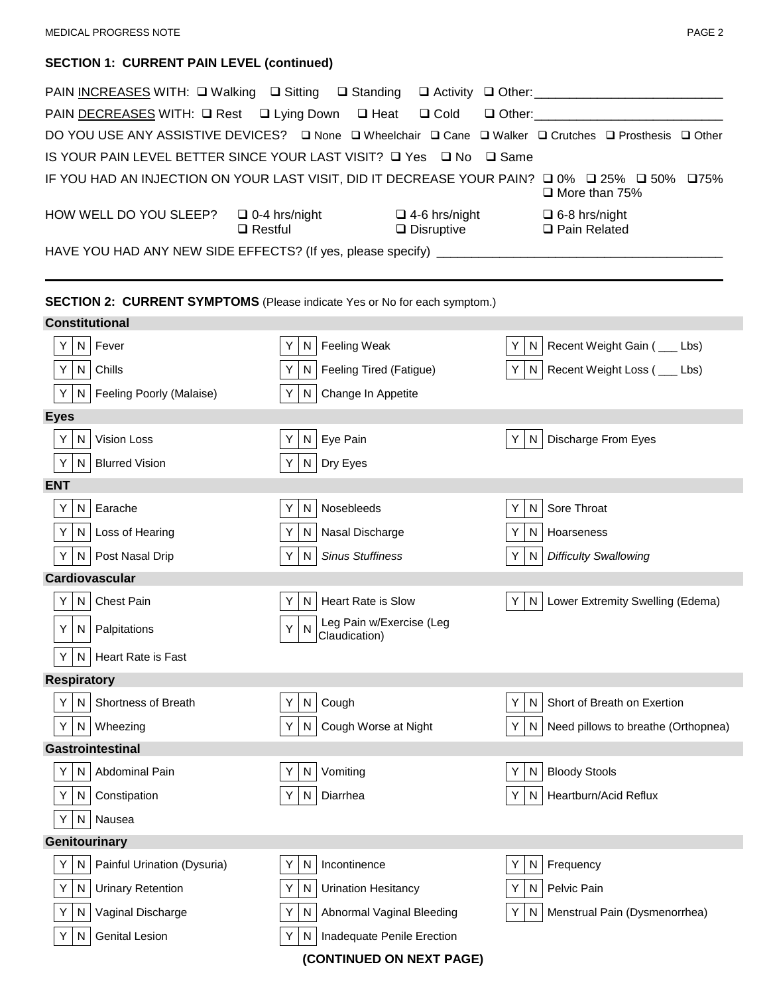## **SECTION 1: CURRENT PAIN LEVEL (continued)**

|                       | PAIN INCREASES WITH: Q Walking Q Sitting Q Standing Q Activity Q Other: ___________________________   |                              |                                           |         |                                        |
|-----------------------|-------------------------------------------------------------------------------------------------------|------------------------------|-------------------------------------------|---------|----------------------------------------|
|                       | PAIN DECREASES WITH: Q Rest Q Lying Down Q Heat                                                       |                              | $\Box$ Cold                               |         |                                        |
|                       | DO YOU USE ANY ASSISTIVE DEVICES? Q None Q Wheelchair Q Cane Q Walker Q Crutches Q Prosthesis Q Other |                              |                                           |         |                                        |
|                       | IS YOUR PAIN LEVEL BETTER SINCE YOUR LAST VISIT? Q Yes Q No Q Same                                    |                              |                                           |         |                                        |
|                       | IF YOU HAD AN INJECTION ON YOUR LAST VISIT, DID IT DECREASE YOUR PAIN? □ 0% □ 25% □ 50% □75%          |                              |                                           |         | $\Box$ More than 75%                   |
|                       | HOW WELL DO YOU SLEEP?<br>$\square$ 0-4 hrs/night<br>$\Box$ Restful                                   |                              | $\Box$ 4-6 hrs/night<br>$\Box$ Disruptive |         | $\Box$ 6-8 hrs/night<br>□ Pain Related |
|                       |                                                                                                       |                              |                                           |         |                                        |
| <b>Constitutional</b> | <b>SECTION 2: CURRENT SYMPTOMS</b> (Please indicate Yes or No for each symptom.)                      |                              |                                           |         |                                        |
|                       |                                                                                                       |                              |                                           | N       | Recent Weight Gain ( __ Lbs)           |
| Y                     | N Fever                                                                                               | Feeling Weak<br>Y<br>Y<br>N. |                                           |         |                                        |
| Y<br>N                | Chills                                                                                                | N.                           | Feeling Tired (Fatigue)                   | Y       | N   Recent Weight Loss ( __ Lbs)       |
| Y                     | N   Feeling Poorly (Malaise)                                                                          | N<br>Y                       | Change In Appetite                        |         |                                        |
| <b>Eyes</b>           |                                                                                                       |                              |                                           |         |                                        |
| Y<br>N                | Vision Loss                                                                                           | N.                           | Eye Pain                                  | N<br>Y  | Discharge From Eyes                    |
| Y<br>N.               | <b>Blurred Vision</b>                                                                                 | Y<br>N                       | Dry Eyes                                  |         |                                        |
| <b>ENT</b>            |                                                                                                       |                              |                                           |         |                                        |
| Y<br>N                | Earache                                                                                               | N<br>Y.                      | Nosebleeds                                | Y<br>N  | Sore Throat                            |
| Y<br>N                | Loss of Hearing                                                                                       | Y.<br>N                      | Nasal Discharge                           | Y<br>N  | Hoarseness                             |
| Y                     | N   Post Nasal Drip                                                                                   | N<br>Y                       | <b>Sinus Stuffiness</b>                   | N<br>Y  | <b>Difficulty Swallowing</b>           |
| <b>Cardiovascular</b> |                                                                                                       |                              |                                           |         |                                        |
| N<br>Y                | Chest Pain                                                                                            | N.<br>Y                      | <b>Heart Rate is Slow</b>                 | Y       | N   Lower Extremity Swelling (Edema)   |
| Y.                    | N   Palpitations                                                                                      | Y                            | Leg Pain w/Exercise (Leg<br>Claudication) |         |                                        |
| Y<br>N.               | Heart Rate is Fast                                                                                    |                              |                                           |         |                                        |
| <b>Respiratory</b>    |                                                                                                       |                              |                                           |         |                                        |
| N<br>Y                | Shortness of Breath                                                                                   | ${\sf N}$<br>Y               | Cough                                     | Υ<br>N  | Short of Breath on Exertion            |
| N<br>Y                | Wheezing                                                                                              | N<br>Y                       | Cough Worse at Night                      | Y<br>N. | Need pillows to breathe (Orthopnea)    |
| Gastrointestinal      |                                                                                                       |                              |                                           |         |                                        |
| Y<br>N                | Abdominal Pain                                                                                        | N<br>Y                       | Vomiting                                  | Υ<br>N  | <b>Bloody Stools</b>                   |
| Y.<br>N               | Constipation                                                                                          | N<br>Y                       | Diarrhea                                  | Υ<br>N  | Heartburn/Acid Reflux                  |
| Y<br>N                | Nausea                                                                                                |                              |                                           |         |                                        |
| Genitourinary         |                                                                                                       |                              |                                           |         |                                        |
| Y<br>N                | Painful Urination (Dysuria)                                                                           | Y<br>N                       | Incontinence                              | Y<br>N  | Frequency                              |
| Y<br>N                | <b>Urinary Retention</b>                                                                              | Υ<br>N                       | <b>Urination Hesitancy</b>                | Υ<br>N  | Pelvic Pain                            |
| Y<br>N.               | Vaginal Discharge                                                                                     | N<br>Y                       | Abnormal Vaginal Bleeding                 | N<br>Y  | Menstrual Pain (Dysmenorrhea)          |
| $\mathsf{N}$<br>Y     | <b>Genital Lesion</b>                                                                                 | Υ<br>N                       | Inadequate Penile Erection                |         |                                        |

**(CONTINUED ON NEXT PAGE)**